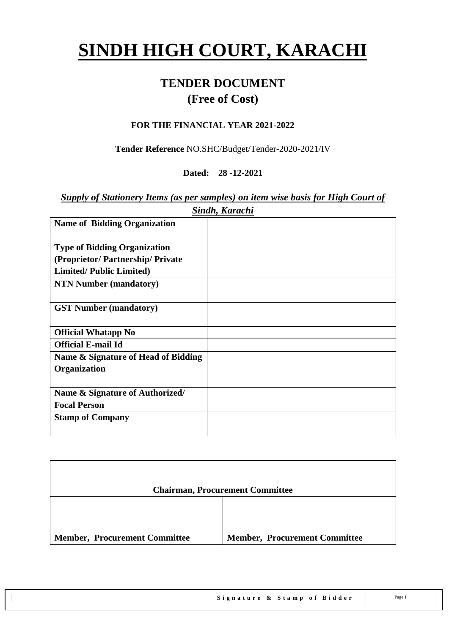# **SINDH HIGH COURT, KARACHI**

# **TENDER DOCUMENT (Free of Cost)**

#### **FOR THE FINANCIAL YEAR 2021-2022**

**Tender Reference** NO.SHC/Budget/Tender-2020-2021/IV

#### **Dated: 28 -12-2021**

#### *Supply of Stationery Items (as per samples) on item wise basis for High Court of Sindh, Karachi*

| <b>Name of Bidding Organization</b> |  |
|-------------------------------------|--|
|                                     |  |
| <b>Type of Bidding Organization</b> |  |
| (Proprietor/Partnership/Private)    |  |
| <b>Limited/Public Limited)</b>      |  |
| <b>NTN Number (mandatory)</b>       |  |
| <b>GST Number (mandatory)</b>       |  |
| <b>Official Whatapp No</b>          |  |
| <b>Official E-mail Id</b>           |  |
| Name & Signature of Head of Bidding |  |
| Organization                        |  |
| Name & Signature of Authorized/     |  |
|                                     |  |
| <b>Focal Person</b>                 |  |
| <b>Stamp of Company</b>             |  |
|                                     |  |

|                                      | <b>Chairman, Procurement Committee</b> |
|--------------------------------------|----------------------------------------|
|                                      |                                        |
| <b>Member, Procurement Committee</b> | <b>Member, Procurement Committee</b>   |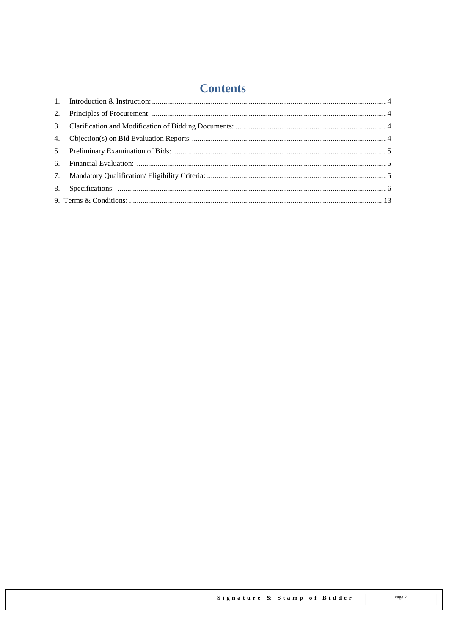# **Contents**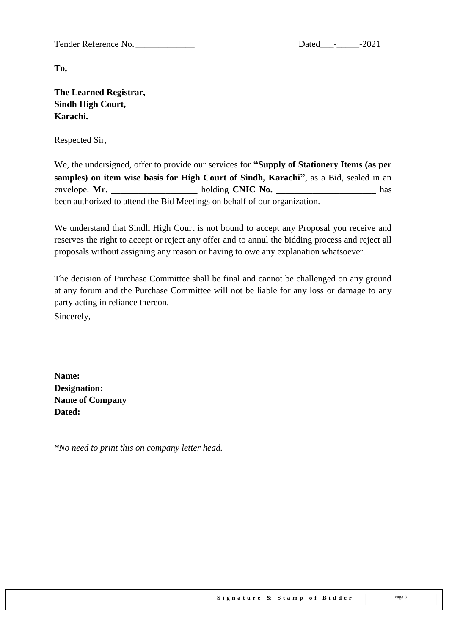Tender Reference No. \_\_\_\_\_\_\_\_\_\_\_\_\_ Dated\_\_\_-\_\_\_\_\_-2021

**To,** 

**The Learned Registrar, Sindh High Court, Karachi.**

Respected Sir,

We, the undersigned, offer to provide our services for **"Supply of Stationery Items (as per samples) on item wise basis for High Court of Sindh, Karachi"**, as a Bid, sealed in an envelope. **Mr.**  $h$ olding **CNIC No.** has been authorized to attend the Bid Meetings on behalf of our organization.

We understand that Sindh High Court is not bound to accept any Proposal you receive and reserves the right to accept or reject any offer and to annul the bidding process and reject all proposals without assigning any reason or having to owe any explanation whatsoever.

The decision of Purchase Committee shall be final and cannot be challenged on any ground at any forum and the Purchase Committee will not be liable for any loss or damage to any party acting in reliance thereon.

Sincerely,

**Name: Designation: Name of Company Dated:**

*\*No need to print this on company letter head.*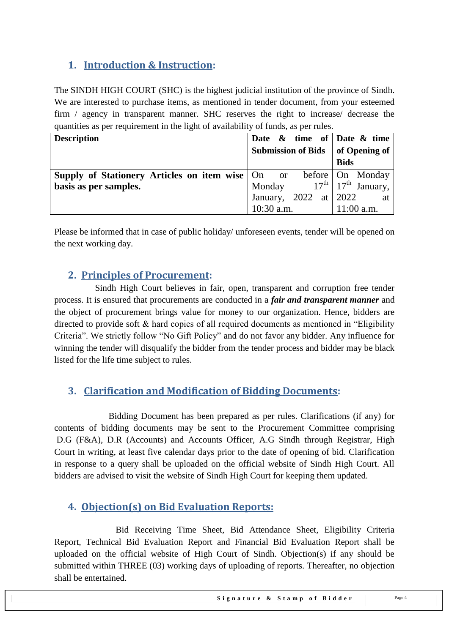## <span id="page-3-0"></span>**1. Introduction & Instruction:**

The SINDH HIGH COURT (SHC) is the highest judicial institution of the province of [Sindh.](https://en.wikipedia.org/wiki/Sindh) We are interested to purchase items, as mentioned in tender document, from your esteemed firm / agency in transparent manner. SHC reserves the right to increase/ decrease the quantities as per requirement in the light of availability of funds, as per rules.

| <b>Description</b>                                                       | Date $\&$ time of Date $\&$ time   |                                              |
|--------------------------------------------------------------------------|------------------------------------|----------------------------------------------|
|                                                                          | Submission of Bids   of Opening of |                                              |
|                                                                          |                                    | <b>Bids</b>                                  |
| <b>Supply of Stationery Articles on item wise</b> On or before On Monday |                                    |                                              |
| basis as per samples.                                                    | Monday                             | $17^{\text{th}}$   $17^{\text{th}}$ January, |
|                                                                          | January, 2022 at $\vert$ 2022 at   |                                              |
|                                                                          | $10:30$ a.m.                       | $11:00$ a.m.                                 |

<span id="page-3-1"></span>Please be informed that in case of public holiday/ unforeseen events, tender will be opened on the next working day.

#### **2. Principles of Procurement:**

 Sindh High Court believes in fair, open, transparent and corruption free tender process. It is ensured that procurements are conducted in a *fair and transparent manner* and the object of procurement brings value for money to our organization. Hence, bidders are directed to provide soft  $\&$  hard copies of all required documents as mentioned in "Eligibility" Criteria". We strictly follow "No Gift Policy" and do not favor any bidder. Any influence for winning the tender will disqualify the bidder from the tender process and bidder may be black listed for the life time subject to rules.

## <span id="page-3-2"></span>**3. Clarification and Modification of Bidding Documents:**

Bidding Document has been prepared as per rules. Clarifications (if any) for contents of bidding documents may be sent to the Procurement Committee comprising D.G (F&A), D.R (Accounts) and Accounts Officer, A.G Sindh through Registrar, High Court in writing, at least five calendar days prior to the date of opening of bid. Clarification in response to a query shall be uploaded on the official website of Sindh High Court. All bidders are advised to visit the website of Sindh High Court for keeping them updated.

#### <span id="page-3-3"></span>**4. Objection(s) on Bid Evaluation Reports:**

 Bid Receiving Time Sheet, Bid Attendance Sheet, Eligibility Criteria Report, Technical Bid Evaluation Report and Financial Bid Evaluation Report shall be uploaded on the official website of High Court of Sindh. Objection(s) if any should be submitted within THREE (03) working days of uploading of reports. Thereafter, no objection shall be entertained.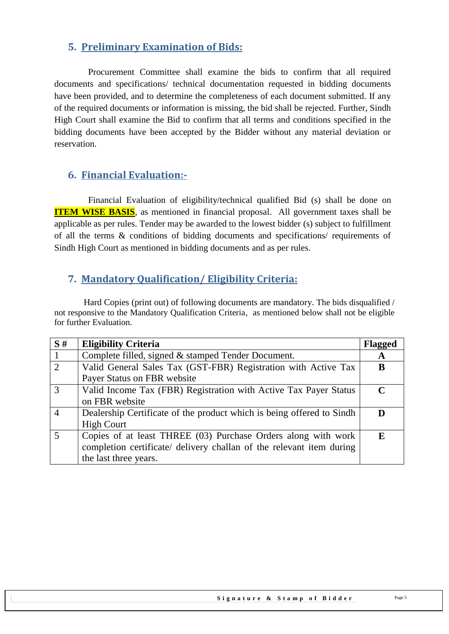## <span id="page-4-0"></span>**5. Preliminary Examination of Bids:**

 Procurement Committee shall examine the bids to confirm that all required documents and specifications/ technical documentation requested in bidding documents have been provided, and to determine the completeness of each document submitted. If any of the required documents or information is missing, the bid shall be rejected. Further, Sindh High Court shall examine the Bid to confirm that all terms and conditions specified in the bidding documents have been accepted by the Bidder without any material deviation or reservation.

#### <span id="page-4-1"></span>**6. Financial Evaluation:-**

 Financial Evaluation of eligibility/technical qualified Bid (s) shall be done on **ITEM WISE BASIS**, as mentioned in financial proposal. All government taxes shall be applicable as per rules. Tender may be awarded to the lowest bidder (s) subject to fulfillment of all the terms & conditions of bidding documents and specifications/ requirements of Sindh High Court as mentioned in bidding documents and as per rules.

## <span id="page-4-2"></span>**7. Mandatory Qualification/ Eligibility Criteria:**

 Hard Copies (print out) of following documents are mandatory. The bids disqualified / not responsive to the Mandatory Qualification Criteria, as mentioned below shall not be eligible for further Evaluation.

| S#             | <b>Eligibility Criteria</b>                                           | <b>Flagged</b> |
|----------------|-----------------------------------------------------------------------|----------------|
|                | Complete filled, signed & stamped Tender Document.                    | A              |
| 2              | Valid General Sales Tax (GST-FBR) Registration with Active Tax        | B              |
|                | Payer Status on FBR website                                           |                |
| $\mathcal{R}$  | Valid Income Tax (FBR) Registration with Active Tax Payer Status      | $\mathbf C$    |
|                | on FBR website                                                        |                |
|                | Dealership Certificate of the product which is being offered to Sindh |                |
|                | <b>High Court</b>                                                     |                |
| $\overline{5}$ | Copies of at least THREE (03) Purchase Orders along with work         | F.             |
|                | completion certificate/ delivery challan of the relevant item during  |                |
|                | the last three years.                                                 |                |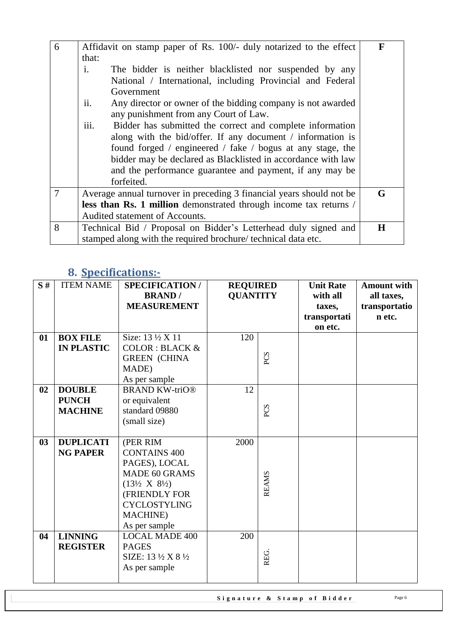| 6              | Affidavit on stamp paper of Rs. 100/- duly notarized to the effect       | $\mathbf{F}$ |
|----------------|--------------------------------------------------------------------------|--------------|
|                | that:                                                                    |              |
|                | $\mathbf{i}$ .<br>The bidder is neither blacklisted nor suspended by any |              |
|                | National / International, including Provincial and Federal               |              |
|                | Government                                                               |              |
|                | ii.<br>Any director or owner of the bidding company is not awarded       |              |
|                | any punishment from any Court of Law.                                    |              |
|                | iii.<br>Bidder has submitted the correct and complete information        |              |
|                | along with the bid/offer. If any document / information is               |              |
|                | found forged / engineered / fake / bogus at any stage, the               |              |
|                | bidder may be declared as Blacklisted in accordance with law             |              |
|                | and the performance guarantee and payment, if any may be                 |              |
|                | forfeited.                                                               |              |
| $\overline{7}$ | Average annual turnover in preceding 3 financial years should not be     | G            |
|                | less than Rs. 1 million demonstrated through income tax returns /        |              |
|                | Audited statement of Accounts.                                           |              |
| 8              | Technical Bid / Proposal on Bidder's Letterhead duly signed and          | H            |
|                | stamped along with the required brochure/technical data etc.             |              |

# <span id="page-5-0"></span>**8. Specifications:-**

| S# | <b>ITEM NAME</b>                                | <b>SPECIFICATION/</b><br><b>BRAND</b> /<br><b>MEASUREMENT</b>                                                                                                                               | <b>REQUIRED</b><br><b>QUANTITY</b> |              | <b>Unit Rate</b><br>with all<br>taxes,<br>transportati<br>on etc. | <b>Amount with</b><br>all taxes,<br>transportatio<br>n etc. |
|----|-------------------------------------------------|---------------------------------------------------------------------------------------------------------------------------------------------------------------------------------------------|------------------------------------|--------------|-------------------------------------------------------------------|-------------------------------------------------------------|
| 01 | <b>BOX FILE</b><br><b>IN PLASTIC</b>            | Size: 13 ½ X 11<br><b>COLOR: BLACK &amp;</b><br><b>GREEN (CHINA</b><br>MADE)<br>As per sample                                                                                               | 120                                | PCS          |                                                                   |                                                             |
| 02 | <b>DOUBLE</b><br><b>PUNCH</b><br><b>MACHINE</b> | <b>BRAND KW-triO®</b><br>or equivalent<br>standard 09880<br>(small size)                                                                                                                    | 12                                 | PCS          |                                                                   |                                                             |
| 03 | <b>DUPLICATI</b><br><b>NG PAPER</b>             | (PER RIM<br><b>CONTAINS 400</b><br>PAGES), LOCAL<br><b>MADE 60 GRAMS</b><br>$(13\frac{1}{2}$ X $8\frac{1}{2})$<br>(FRIENDLY FOR<br><b>CYCLOSTYLING</b><br><b>MACHINE</b> )<br>As per sample | 2000                               | <b>REAMS</b> |                                                                   |                                                             |
| 04 | <b>LINNING</b><br><b>REGISTER</b>               | <b>LOCAL MADE 400</b><br><b>PAGES</b><br>SIZE: 13 $\frac{1}{2}$ X 8 $\frac{1}{2}$<br>As per sample                                                                                          | 200                                | REG.         |                                                                   |                                                             |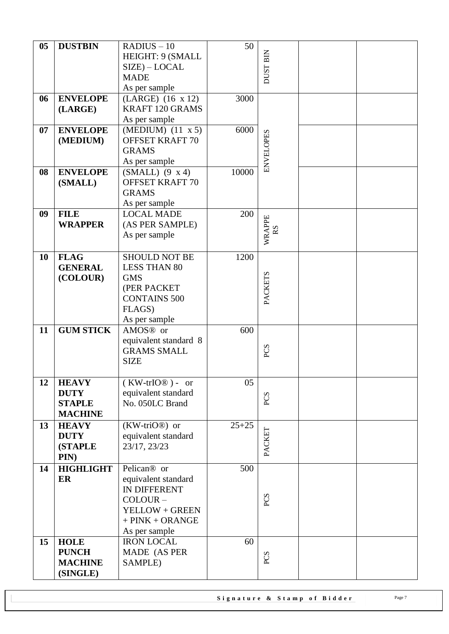|                |                  | $RADIUS - 10$              | 50        |                          |  |
|----------------|------------------|----------------------------|-----------|--------------------------|--|
| 0 <sub>5</sub> | <b>DUSTBIN</b>   |                            |           |                          |  |
|                |                  | HEIGHT: 9 (SMALL           |           |                          |  |
|                |                  | $SIZE$ ) – LOCAL           |           | <b>DUST BIN</b>          |  |
|                |                  | <b>MADE</b>                |           |                          |  |
|                |                  | As per sample              |           |                          |  |
| 06             | <b>ENVELOPE</b>  | $(LARGE)$ (16 x 12)        | 3000      |                          |  |
|                | (LARGE)          | KRAFT 120 GRAMS            |           |                          |  |
|                |                  | As per sample              |           |                          |  |
| 07             | <b>ENVELOPE</b>  | $(MEDIUM)$ $(11 \times 5)$ | 6000      |                          |  |
|                | (MEDIUM)         | <b>OFFSET KRAFT 70</b>     |           |                          |  |
|                |                  | <b>GRAMS</b>               |           |                          |  |
|                |                  | As per sample              |           | <b>ENVELOPES</b>         |  |
|                | <b>ENVELOPE</b>  |                            |           |                          |  |
| 08             |                  | $(SMALL)$ (9 x 4)          | 10000     |                          |  |
|                | (SMALL)          | <b>OFFSET KRAFT 70</b>     |           |                          |  |
|                |                  | <b>GRAMS</b>               |           |                          |  |
|                |                  | As per sample              |           |                          |  |
| 09             | <b>FILE</b>      | <b>LOCAL MADE</b>          | 200       |                          |  |
|                | <b>WRAPPER</b>   | (AS PER SAMPLE)            |           | WRAPPE<br>R <sub>S</sub> |  |
|                |                  | As per sample              |           |                          |  |
|                |                  |                            |           |                          |  |
| 10             | <b>FLAG</b>      | <b>SHOULD NOT BE</b>       | 1200      |                          |  |
|                | <b>GENERAL</b>   | <b>LESS THAN 80</b>        |           |                          |  |
|                | (COLOUR)         | <b>GMS</b>                 |           |                          |  |
|                |                  | (PER PACKET                |           | PACKETS                  |  |
|                |                  | <b>CONTAINS 500</b>        |           |                          |  |
|                |                  | FLAGS)                     |           |                          |  |
|                |                  |                            |           |                          |  |
|                |                  | As per sample              |           |                          |  |
| 11             | <b>GUM STICK</b> | AMOS <sup>®</sup> or       | 600       |                          |  |
|                |                  | equivalent standard 8      |           |                          |  |
|                |                  | <b>GRAMS SMALL</b>         |           | PCS                      |  |
|                |                  | <b>SIZE</b>                |           |                          |  |
|                |                  |                            |           |                          |  |
| 12             | <b>HEAVY</b>     | $(KW-trIO@) - or$          | 05        |                          |  |
|                | <b>DUTY</b>      | equivalent standard        |           | PCS                      |  |
|                | <b>STAPLE</b>    | No. 050LC Brand            |           |                          |  |
|                | <b>MACHINE</b>   |                            |           |                          |  |
| 13             | <b>HEAVY</b>     | $(KW-triO@)$ or            | $25 + 25$ |                          |  |
|                | <b>DUTY</b>      | equivalent standard        |           | PACKET                   |  |
|                | <b>(STAPLE</b>   | 23/17, 23/23               |           |                          |  |
|                | PIN)             |                            |           |                          |  |
| 14             | <b>HIGHLIGHT</b> | Pelican <sup>®</sup> or    | 500       |                          |  |
|                | ER               | equivalent standard        |           |                          |  |
|                |                  | <b>IN DIFFERENT</b>        |           |                          |  |
|                |                  | COLOUR-                    |           | PCS                      |  |
|                |                  |                            |           |                          |  |
|                |                  | YELLOW + GREEN             |           |                          |  |
|                |                  | $+$ PINK $+$ ORANGE        |           |                          |  |
|                |                  | As per sample              |           |                          |  |
| 15             | <b>HOLE</b>      | <b>IRON LOCAL</b>          | 60        |                          |  |
|                | <b>PUNCH</b>     | MADE (AS PER               |           | PCS                      |  |
|                | <b>MACHINE</b>   | SAMPLE)                    |           |                          |  |
|                | (SINGLE)         |                            |           |                          |  |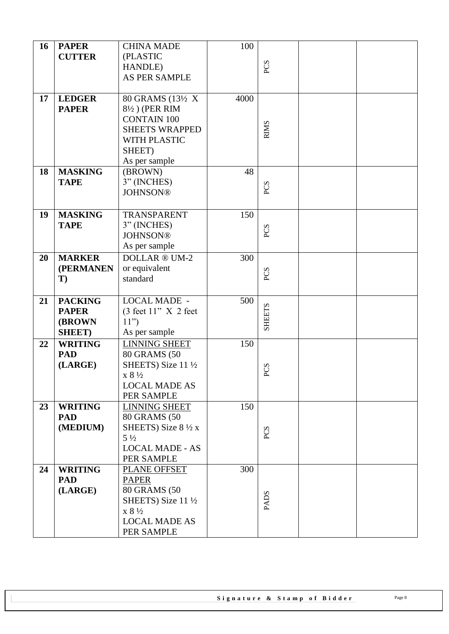| 16 | <b>PAPER</b><br><b>CUTTER</b>                                     | <b>CHINA MADE</b><br>(PLASTIC<br>HANDLE)<br>AS PER SAMPLE                                                                               | 100  | PCS           |  |
|----|-------------------------------------------------------------------|-----------------------------------------------------------------------------------------------------------------------------------------|------|---------------|--|
| 17 | <b>LEDGER</b><br><b>PAPER</b>                                     | 80 GRAMS (13½ X<br>8½) (PER RIM<br><b>CONTAIN 100</b><br>SHEETS WRAPPED<br>WITH PLASTIC<br>SHEET)<br>As per sample                      | 4000 | <b>RIMS</b>   |  |
| 18 | <b>MASKING</b><br><b>TAPE</b>                                     | (BROWN)<br>3" (INCHES)<br><b>JOHNSON®</b>                                                                                               | 48   | PCS           |  |
| 19 | <b>MASKING</b><br><b>TAPE</b>                                     | TRANSPARENT<br>3" (INCHES)<br><b>JOHNSON®</b><br>As per sample                                                                          | 150  | PCS           |  |
| 20 | <b>MARKER</b><br>(PERMANEN<br>T)                                  | DOLLAR ® UM-2<br>or equivalent<br>standard                                                                                              | 300  | PCS           |  |
| 21 | <b>PACKING</b><br><b>PAPER</b><br><b>(BROWN)</b><br><b>SHEET)</b> | <b>LOCAL MADE -</b><br>$(3 \text{ feet } 11$ " X 2 feet<br>11")<br>As per sample                                                        | 500  | <b>SHEETS</b> |  |
| 22 | <b>WRITING</b><br><b>PAD</b><br>(LARGE)                           | <b>LINNING SHEET</b><br>80 GRAMS (50<br>SHEETS) Size 11 $\frac{1}{2}$<br>$x 8\frac{1}{2}$<br><b>LOCAL MADE AS</b><br>PER SAMPLE         | 150  | <b>PCS</b>    |  |
| 23 | <b>WRITING</b><br><b>PAD</b><br>(MEDIUM)                          | <b>LINNING SHEET</b><br>80 GRAMS (50<br>SHEETS) Size $8\frac{1}{2}x$<br>$5\frac{1}{2}$<br><b>LOCAL MADE - AS</b><br>PER SAMPLE          | 150  | PCS           |  |
| 24 | <b>WRITING</b><br><b>PAD</b><br>(LARGE)                           | PLANE OFFSET<br><b>PAPER</b><br>80 GRAMS (50<br>SHEETS) Size 11 $\frac{1}{2}$<br>$x 8\frac{1}{2}$<br><b>LOCAL MADE AS</b><br>PER SAMPLE | 300  | <b>PADS</b>   |  |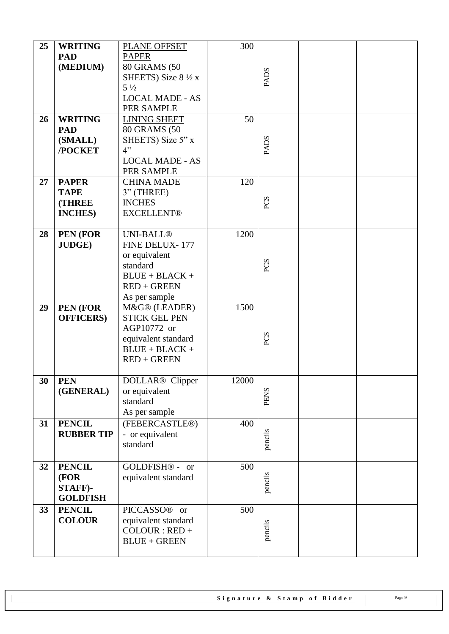| 25 | <b>WRITING</b><br><b>PAD</b><br>(MEDIUM)                         | PLANE OFFSET<br><b>PAPER</b><br>80 GRAMS (50<br>SHEETS) Size $8\frac{1}{2}x$<br>$5\frac{1}{2}$<br><b>LOCAL MADE - AS</b> | 300   | <b>PADS</b> |  |
|----|------------------------------------------------------------------|--------------------------------------------------------------------------------------------------------------------------|-------|-------------|--|
|    |                                                                  | PER SAMPLE                                                                                                               |       |             |  |
| 26 | <b>WRITING</b><br><b>PAD</b><br>(SMALL)<br>/POCKET               | <b>LINING SHEET</b><br>80 GRAMS (50<br>SHEETS) Size 5" x<br>4"<br><b>LOCAL MADE - AS</b><br>PER SAMPLE                   | 50    | <b>PADS</b> |  |
| 27 | <b>PAPER</b><br><b>TAPE</b><br><b>(THREE)</b><br><b>INCHES</b> ) | <b>CHINA MADE</b><br>$3"$ (THREE)<br><b>INCHES</b><br><b>EXCELLENT®</b>                                                  | 120   | PCS         |  |
| 28 | PEN (FOR<br><b>JUDGE)</b>                                        | <b>UNI-BALL®</b><br>FINE DELUX-177<br>or equivalent<br>standard<br>$BLUE + BLACK +$<br>$RED + GREEN$<br>As per sample    | 1200  | PCS         |  |
| 29 | PEN (FOR<br><b>OFFICERS</b> )                                    | M&G® (LEADER)<br><b>STICK GEL PEN</b><br>AGP10772 or<br>equivalent standard<br>$BLUE + BLACK +$<br>$RED + GREEN$         | 1500  | PCS         |  |
| 30 | <b>PEN</b><br>(GENERAL)                                          | DOLLAR <sup>®</sup> Clipper<br>or equivalent<br>standard<br>As per sample                                                | 12000 | <b>PENS</b> |  |
| 31 | <b>PENCIL</b><br><b>RUBBER TIP</b>                               | (FEBERCASTLE®)<br>- or equivalent<br>standard                                                                            | 400   | pencils     |  |
| 32 | <b>PENCIL</b><br>(FOR<br>STAFF)-<br><b>GOLDFISH</b>              | GOLDFISH <sup>®</sup> - or<br>equivalent standard                                                                        | 500   | pencils     |  |
| 33 | <b>PENCIL</b><br><b>COLOUR</b>                                   | PICCASSO <sup>®</sup> or<br>equivalent standard<br>$COLOUR : RED +$<br>$BLUE + GREEN$                                    | 500   | pencils     |  |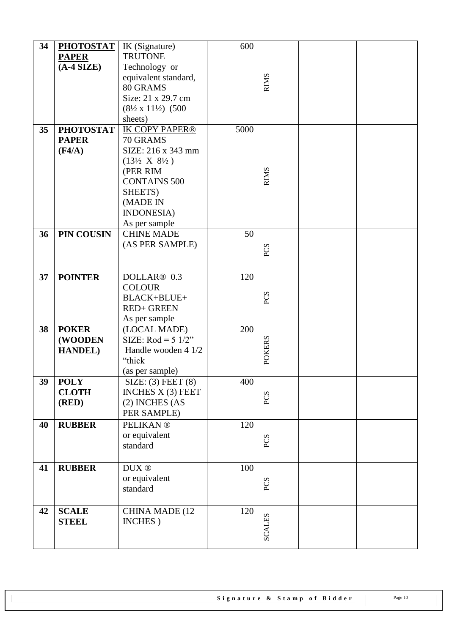| 34 | <b>PHOTOSTAT</b> | IK (Signature)                              | 600  |               |  |
|----|------------------|---------------------------------------------|------|---------------|--|
|    | <b>PAPER</b>     | <b>TRUTONE</b>                              |      |               |  |
|    | $(A-4$ SIZE)     | Technology or                               |      |               |  |
|    |                  | equivalent standard,                        |      |               |  |
|    |                  | 80 GRAMS                                    |      | <b>RIMS</b>   |  |
|    |                  | Size: 21 x 29.7 cm                          |      |               |  |
|    |                  | $(8\frac{1}{2} \times 11\frac{1}{2})$ (500) |      |               |  |
|    |                  | sheets)                                     |      |               |  |
| 35 | <b>PHOTOSTAT</b> | <b>IK COPY PAPER®</b>                       | 5000 |               |  |
|    | <b>PAPER</b>     | 70 GRAMS                                    |      |               |  |
|    | (F4/A)           | SIZE: 216 x 343 mm                          |      |               |  |
|    |                  | $(13\frac{1}{2} X 8\frac{1}{2})$            |      |               |  |
|    |                  | (PER RIM                                    |      |               |  |
|    |                  | <b>CONTAINS 500</b>                         |      | <b>RIMS</b>   |  |
|    |                  | SHEETS)                                     |      |               |  |
|    |                  | (MADE IN                                    |      |               |  |
|    |                  |                                             |      |               |  |
|    |                  | <b>INDONESIA</b> )                          |      |               |  |
| 36 | PIN COUSIN       | As per sample<br><b>CHINE MADE</b>          |      |               |  |
|    |                  | (AS PER SAMPLE)                             | 50   |               |  |
|    |                  |                                             |      | PCS           |  |
|    |                  |                                             |      |               |  |
|    |                  |                                             |      |               |  |
| 37 | <b>POINTER</b>   | DOLLAR <sup>®</sup> 0.3                     | 120  |               |  |
|    |                  | <b>COLOUR</b>                               |      |               |  |
|    |                  | BLACK+BLUE+                                 |      | PCS           |  |
|    |                  | <b>RED+ GREEN</b>                           |      |               |  |
|    |                  | As per sample                               |      |               |  |
| 38 | <b>POKER</b>     | (LOCAL MADE)                                | 200  |               |  |
|    | (WOODEN          | SIZE: Rod = $5 \frac{1}{2}$ "               |      | <b>POKERS</b> |  |
|    | <b>HANDEL</b> )  | Handle wooden 4 1/2                         |      |               |  |
|    |                  | "thick                                      |      |               |  |
|    |                  | (as per sample)                             |      |               |  |
| 39 | <b>POLY</b>      | SIZE: (3) FEET(8)                           | 400  |               |  |
|    | <b>CLOTH</b>     | INCHES $X(3)$ FEET                          |      | PCS           |  |
|    | (RED)            | $(2)$ INCHES $(AS)$                         |      |               |  |
|    |                  | PER SAMPLE)                                 |      |               |  |
| 40 | <b>RUBBER</b>    | <b>PELIKAN®</b>                             | 120  |               |  |
|    |                  | or equivalent                               |      | PCS           |  |
|    |                  | standard                                    |      |               |  |
|    |                  |                                             |      |               |  |
| 41 | <b>RUBBER</b>    | $\text{DUX}\xspace\,\circledcirc\,$         | 100  |               |  |
|    |                  | or equivalent                               |      | PCS           |  |
|    |                  | standard                                    |      |               |  |
|    |                  |                                             |      |               |  |
| 42 | <b>SCALE</b>     | CHINA MADE (12                              | 120  |               |  |
|    | <b>STEEL</b>     | INCHES)                                     |      | <b>SCALES</b> |  |
|    |                  |                                             |      |               |  |
|    |                  |                                             |      |               |  |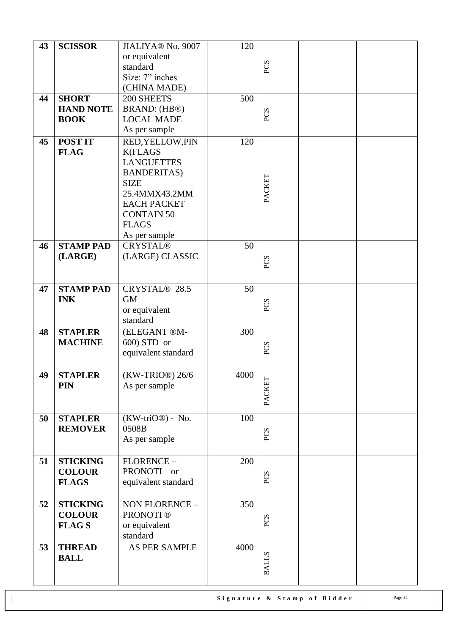| 43 | <b>SCISSOR</b>   | JIALIYA® No. 9007   | 120  |              |  |
|----|------------------|---------------------|------|--------------|--|
|    |                  | or equivalent       |      |              |  |
|    |                  | standard            |      | PCS          |  |
|    |                  | Size: 7" inches     |      |              |  |
|    |                  | (CHINA MADE)        |      |              |  |
| 44 | <b>SHORT</b>     | 200 SHEETS          | 500  |              |  |
|    | <b>HAND NOTE</b> | BRAND: (HB®)        |      |              |  |
|    | <b>BOOK</b>      | <b>LOCAL MADE</b>   |      | PCS          |  |
|    |                  | As per sample       |      |              |  |
| 45 | <b>POST IT</b>   | RED, YELLOW, PIN    | 120  |              |  |
|    | <b>FLAG</b>      | <b>K(FLAGS</b>      |      |              |  |
|    |                  | <b>LANGUETTES</b>   |      |              |  |
|    |                  | <b>BANDERITAS</b> ) |      |              |  |
|    |                  | <b>SIZE</b>         |      |              |  |
|    |                  | 25.4MMX43.2MM       |      | PACKET       |  |
|    |                  | <b>EACH PACKET</b>  |      |              |  |
|    |                  | <b>CONTAIN 50</b>   |      |              |  |
|    |                  | <b>FLAGS</b>        |      |              |  |
|    |                  | As per sample       |      |              |  |
| 46 | <b>STAMP PAD</b> | <b>CRYSTAL®</b>     | 50   |              |  |
|    | (LARGE)          | (LARGE) CLASSIC     |      |              |  |
|    |                  |                     |      | PCS          |  |
|    |                  |                     |      |              |  |
| 47 | <b>STAMP PAD</b> | CRYSTAL® 28.5       | 50   |              |  |
|    | <b>INK</b>       | <b>GM</b>           |      |              |  |
|    |                  | or equivalent       |      | PCS          |  |
|    |                  | standard            |      |              |  |
| 48 | <b>STAPLER</b>   | (ELEGANT ®M-        | 300  |              |  |
|    | <b>MACHINE</b>   | 600) STD or         |      |              |  |
|    |                  | equivalent standard |      | PCS          |  |
|    |                  |                     |      |              |  |
| 49 | <b>STAPLER</b>   | $(KW-TRIO@)$ 26/6   | 4000 |              |  |
|    | <b>PIN</b>       | As per sample       |      |              |  |
|    |                  |                     |      | PACKET       |  |
|    |                  |                     |      |              |  |
| 50 | <b>STAPLER</b>   | $(KW-triO@) - No.$  | 100  |              |  |
|    | <b>REMOVER</b>   | 0508B               |      |              |  |
|    |                  | As per sample       |      | PCS          |  |
|    |                  |                     |      |              |  |
| 51 | <b>STICKING</b>  | FLORENCE-           | 200  |              |  |
|    | <b>COLOUR</b>    | PRONOTI or          |      |              |  |
|    | <b>FLAGS</b>     | equivalent standard |      | PCS          |  |
|    |                  |                     |      |              |  |
| 52 | <b>STICKING</b>  | NON FLORENCE -      | 350  |              |  |
|    | <b>COLOUR</b>    | <b>PRONOTI®</b>     |      |              |  |
|    | <b>FLAGS</b>     | or equivalent       |      | PCS          |  |
|    |                  | standard            |      |              |  |
| 53 | <b>THREAD</b>    | AS PER SAMPLE       | 4000 |              |  |
|    | <b>BALL</b>      |                     |      |              |  |
|    |                  |                     |      | <b>BALLS</b> |  |
|    |                  |                     |      |              |  |
|    |                  |                     |      |              |  |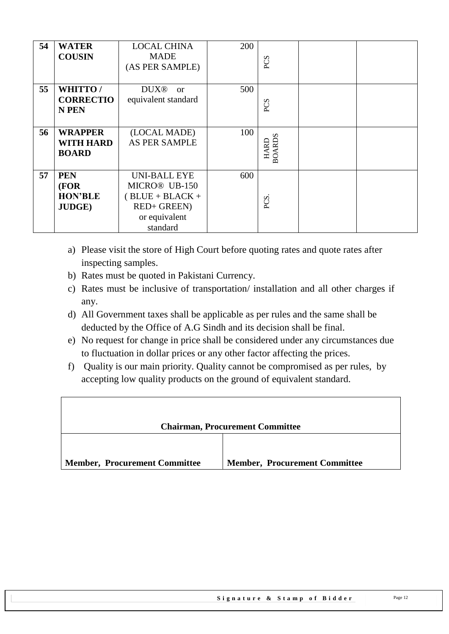| 54 | <b>WATER</b><br><b>COUSIN</b>                         | <b>LOCAL CHINA</b><br><b>MADE</b><br>(AS PER SAMPLE)                                                 | 200 | PCS                          |  |
|----|-------------------------------------------------------|------------------------------------------------------------------------------------------------------|-----|------------------------------|--|
| 55 | <b>WHITTO/</b><br><b>CORRECTIO</b><br><b>N PEN</b>    | DUX <sup>®</sup> or<br>equivalent standard                                                           | 500 | PCS                          |  |
| 56 | <b>WRAPPER</b><br><b>WITH HARD</b><br><b>BOARD</b>    | (LOCAL MADE)<br><b>AS PER SAMPLE</b>                                                                 | 100 | <b>BOARDS</b><br><b>HARD</b> |  |
| 57 | <b>PEN</b><br>(FOR<br><b>HON'BLE</b><br><b>JUDGE)</b> | <b>UNI-BALL EYE</b><br>MICRO® UB-150<br>$BLUE + BLACK +$<br>RED+ GREEN)<br>or equivalent<br>standard | 600 | PCS.                         |  |

- a) Please visit the store of High Court before quoting rates and quote rates after inspecting samples.
- b) Rates must be quoted in Pakistani Currency.
- c) Rates must be inclusive of transportation/ installation and all other charges if any.
- d) All Government taxes shall be applicable as per rules and the same shall be deducted by the Office of A.G Sindh and its decision shall be final.
- e) No request for change in price shall be considered under any circumstances due to fluctuation in dollar prices or any other factor affecting the prices.
- f) Quality is our main priority. Quality cannot be compromised as per rules, by accepting low quality products on the ground of equivalent standard.

| <b>Chairman, Procurement Committee</b> |                                      |  |  |  |  |
|----------------------------------------|--------------------------------------|--|--|--|--|
| <b>Member, Procurement Committee</b>   | <b>Member, Procurement Committee</b> |  |  |  |  |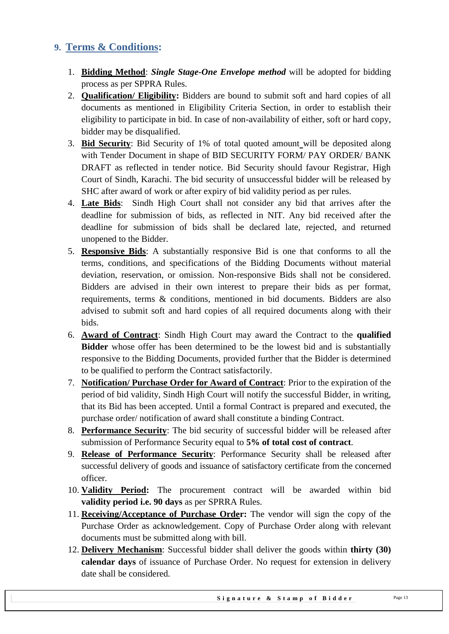## <span id="page-12-0"></span>**9. Terms & Conditions:**

- 1. **Bidding Method**: *Single Stage-One Envelope method* will be adopted for bidding process as per SPPRA Rules.
- 2. **Qualification/ Eligibility:** Bidders are bound to submit soft and hard copies of all documents as mentioned in Eligibility Criteria Section, in order to establish their eligibility to participate in bid. In case of non-availability of either, soft or hard copy, bidder may be disqualified.
- 3. **Bid Security**: Bid Security of 1% of total quoted amount will be deposited along with Tender Document in shape of BID SECURITY FORM/ PAY ORDER/ BANK DRAFT as reflected in tender notice. Bid Security should favour Registrar, High Court of Sindh, Karachi. The bid security of unsuccessful bidder will be released by SHC after award of work or after expiry of bid validity period as per rules.
- 4. **Late Bids**: Sindh High Court shall not consider any bid that arrives after the deadline for submission of bids, as reflected in NIT. Any bid received after the deadline for submission of bids shall be declared late, rejected, and returned unopened to the Bidder.
- 5. **Responsive Bids**: A substantially responsive Bid is one that conforms to all the terms, conditions, and specifications of the Bidding Documents without material deviation, reservation, or omission. Non-responsive Bids shall not be considered. Bidders are advised in their own interest to prepare their bids as per format, requirements, terms & conditions, mentioned in bid documents. Bidders are also advised to submit soft and hard copies of all required documents along with their bids.
- 6. **Award of Contract**: Sindh High Court may award the Contract to the **qualified Bidder** whose offer has been determined to be the lowest bid and is substantially responsive to the Bidding Documents, provided further that the Bidder is determined to be qualified to perform the Contract satisfactorily.
- 7. **Notification/ Purchase Order for Award of Contract**: Prior to the expiration of the period of bid validity, Sindh High Court will notify the successful Bidder, in writing, that its Bid has been accepted. Until a formal Contract is prepared and executed, the purchase order/ notification of award shall constitute a binding Contract.
- 8. **Performance Security**: The bid security of successful bidder will be released after submission of Performance Security equal to **5% of total cost of contract**.
- 9. **Release of Performance Security**: Performance Security shall be released after successful delivery of goods and issuance of satisfactory certificate from the concerned officer.
- 10. **Validity Period:** The procurement contract will be awarded within bid **validity period i.e. 90 days** as per SPRRA Rules.
- 11. **Receiving/Acceptance of Purchase Order:** The vendor will sign the copy of the Purchase Order as acknowledgement. Copy of Purchase Order along with relevant documents must be submitted along with bill.
- 12. **Delivery Mechanism**: Successful bidder shall deliver the goods within **thirty (30) calendar days** of issuance of Purchase Order. No request for extension in delivery date shall be considered.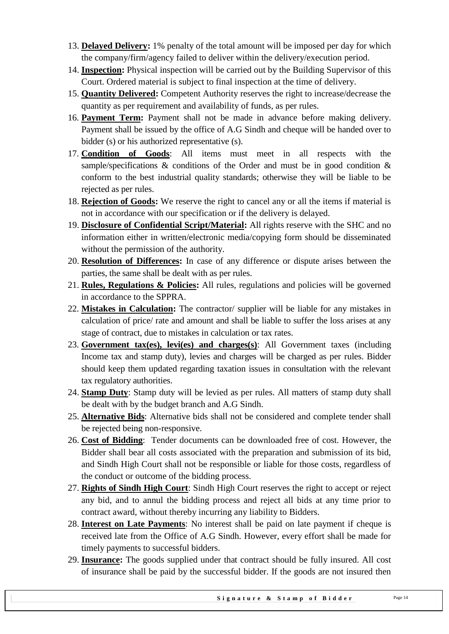- 13. **Delayed Delivery:** 1% penalty of the total amount will be imposed per day for which the company/firm/agency failed to deliver within the delivery/execution period.
- 14. **Inspection:** Physical inspection will be carried out by the Building Supervisor of this Court. Ordered material is subject to final inspection at the time of delivery.
- 15. **Quantity Delivered:** Competent Authority reserves the right to increase/decrease the quantity as per requirement and availability of funds, as per rules.
- 16. **Payment Term:** Payment shall not be made in advance before making delivery. Payment shall be issued by the office of A.G Sindh and cheque will be handed over to bidder (s) or his authorized representative (s).
- 17. **Condition of Goods**: All items must meet in all respects with the sample/specifications  $\&$  conditions of the Order and must be in good condition  $\&$ conform to the best industrial quality standards; otherwise they will be liable to be rejected as per rules.
- 18. **Rejection of Goods:** We reserve the right to cancel any or all the items if material is not in accordance with our specification or if the delivery is delayed.
- 19. **Disclosure of Confidential Script/Material:** All rights reserve with the SHC and no information either in written/electronic media/copying form should be disseminated without the permission of the authority.
- 20. **Resolution of Differences:** In case of any difference or dispute arises between the parties, the same shall be dealt with as per rules.
- 21. **Rules, Regulations & Policies:** All rules, regulations and policies will be governed in accordance to the SPPRA.
- 22. **Mistakes in Calculation:** The contractor/ supplier will be liable for any mistakes in calculation of price/ rate and amount and shall be liable to suffer the loss arises at any stage of contract, due to mistakes in calculation or tax rates.
- 23. **Government tax(es), levi(es) and charges(s)**: All Government taxes (including Income tax and stamp duty), levies and charges will be charged as per rules. Bidder should keep them updated regarding taxation issues in consultation with the relevant tax regulatory authorities.
- 24. **Stamp Duty**: Stamp duty will be levied as per rules. All matters of stamp duty shall be dealt with by the budget branch and A.G Sindh.
- 25. **Alternative Bids**: Alternative bids shall not be considered and complete tender shall be rejected being non-responsive.
- 26. **Cost of Bidding**: Tender documents can be downloaded free of cost. However, the Bidder shall bear all costs associated with the preparation and submission of its bid, and Sindh High Court shall not be responsible or liable for those costs, regardless of the conduct or outcome of the bidding process.
- 27. **Rights of Sindh High Court**: Sindh High Court reserves the right to accept or reject any bid, and to annul the bidding process and reject all bids at any time prior to contract award, without thereby incurring any liability to Bidders.
- 28. **Interest on Late Payments**: No interest shall be paid on late payment if cheque is received late from the Office of A.G Sindh. However, every effort shall be made for timely payments to successful bidders.
- 29. **Insurance:** The goods supplied under that contract should be fully insured. All cost of insurance shall be paid by the successful bidder. If the goods are not insured then